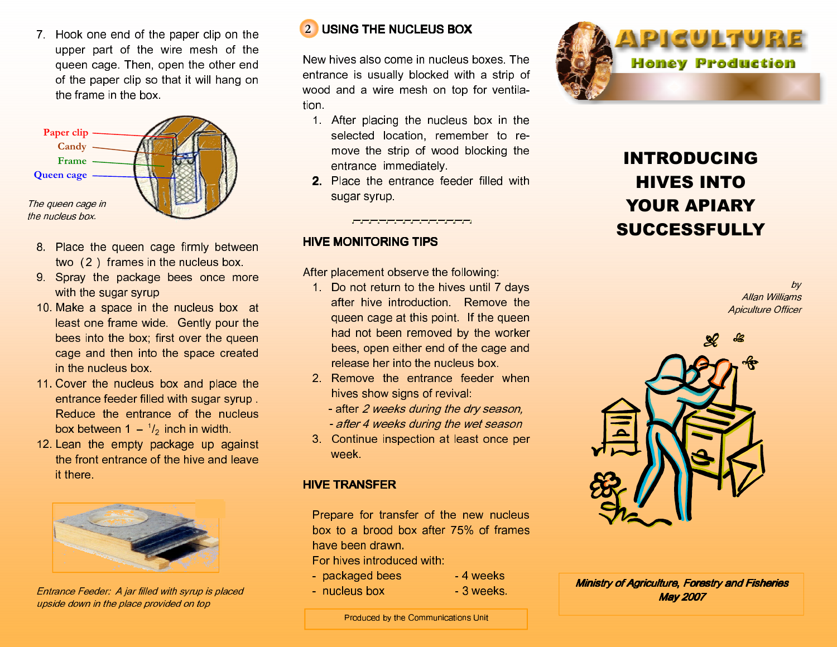7. Hook one end of the paper clip on the upper part of the wire mesh of the queen cage. Then, open the other end of the paper clip so that it will hang on the frame in the box.



- 8. Place the queen cage firmly between two (2 ) frames in the nucleus box.
- 9. Spray the package bees once more with the sugar syrup
- 10. Make a space in the nucleus box at least one frame wide. Gently pour the bees into the box; first over the queen cage and then into the space created in the nucleus box.
- 11. Cover the nucleus box and place the entrance feeder filled with sugar syrup . Reduce the entrance of the nucleus box between 1  $\frac{1}{2}$  inch in width.
- 12. Lean the empty package up against the front entrance of the hive and leave it there.



Entrance Feeder: A jar filled with syrup is placed upside down in the place provided on top



 New hives also come in nucleus boxes. The entrance is usually blocked with a strip of wood and a wire mesh on top for ventilation.

- 1. After placing the nucleus box in the selected location, remember to remove the strip of wood blocking the entrance immediately.
- 2. Place the entrance feeder filled with sugar syrup.

## **HIVE MONITORING TIPS**

After placement observe the following:

- 1. Do not return to the hives until 7 days after hive introduction. Remove the queen cage at this point. If the queen had not been removed by the worker bees, open either end of the cage and release her into the nucleus box.
- 2. Remove the entrance feeder when hives show signs of revival:
	- after 2 weeks during the dry season, - after 4 weeks during the wet season
- 3. Continue inspection at least once per week.

### **HIVE TRANSFER**

 Prepare for transfer of the new nucleus box to a brood box after 75% of frames have been drawn.

For hives introduced with:

- packaged bees 4 weeks
- nucleus box 3 weeks.
- 
- 



## INTRODUCING HIVES INTO YOUR APIARY SUCCESSFULLY

by Allan Williams Apiculture Officer



Ministry of Agriculture, Forestry and Fisheries **May 2007** 

Produced by the Communications Unit